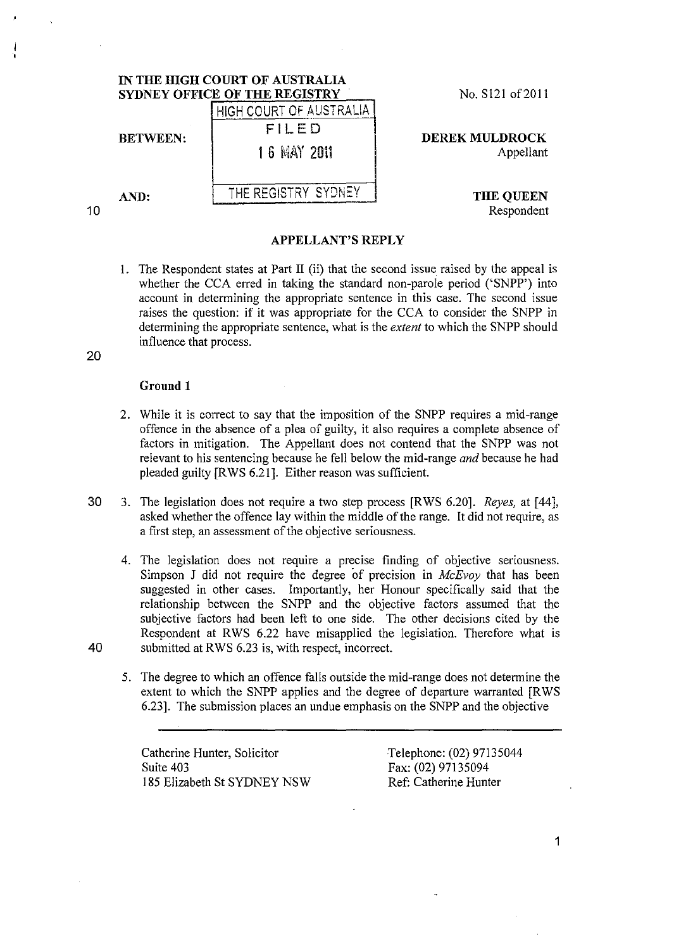|    | IN THE HIGH COURT OF AUSTRALIA<br>SYDNEY OFFICE OF THE REGISTRY |                         | No. S121 of 2011                   |
|----|-----------------------------------------------------------------|-------------------------|------------------------------------|
|    | <b>BETWEEN:</b>                                                 | HIGH COURT OF AUSTRALIA | <b>DEREK MULDROCK</b><br>Appellant |
|    |                                                                 | FILED                   |                                    |
|    |                                                                 | 1 6 MAY 2011            |                                    |
|    | AND:                                                            | THE REGISTRY SYONEY     | THE QUEEN                          |
| 10 |                                                                 |                         | Respondent                         |

**APPELLANT'S REPLY** 

1. The Respondent states at Part II (ii) that the second issue raised by the appeal is whether the CCA erred in taking the standard non-parole period ('SNPP') into account in determining the appropriate sentence in this case. The second issue raises the question: if it was appropriate for the CCA to consider the SNPP in determining the appropriate sentence, what is the *extent* to which the SNPP should influence that process.

20

## **Ground 1**

- 2. While it is correct to say that the imposition of the SNPP requires a mid-range offence in the absence of a plea of guilty, it also requires a complete absence of factors in mitigation. The Appellant does not contend that the SNPP was not relevant to his sentencing because he fell below the mid-range *and* because he had pleaded guilty [R WS 6.21]. Either reason was sufficient
- 30 3. The legislation does not require a two step process [RWS 6.20]. *Reyes,* at [44], asked whether the offence lay within the middle of the range. It did not require, as a first step, an assessment of the objective seriousness.
- 4. The legislation does not require a precise finding of objective seriousness. Simpson J did not require the degree of precision in *McEvoy* that has been suggested in other cases. Importantly, her Honour specifically said that the relationship between the SNPP and the objective factors assumed that the subjective factors had been left to one side. The other decisions cited by the Respondent at RWS 6.22 have misapplied the legislation. Therefore what is 40 submitted at RWS 6.23 is, with respect, incorrect.
	- 5. The degree to which an offence falls outside the mid-range does not determine the extent to which the SNPP applies and the degree of departure warranted [RWS 6.23]. The submission places an undue emphasis on the SNPP and the objective

Catherine Hunter, Solicitor Suite 403 185 Elizabeth St SYDNEY NSW Telephone: (02) 97135044 Fax: (02) 97135094 Ref: Catherine Hunter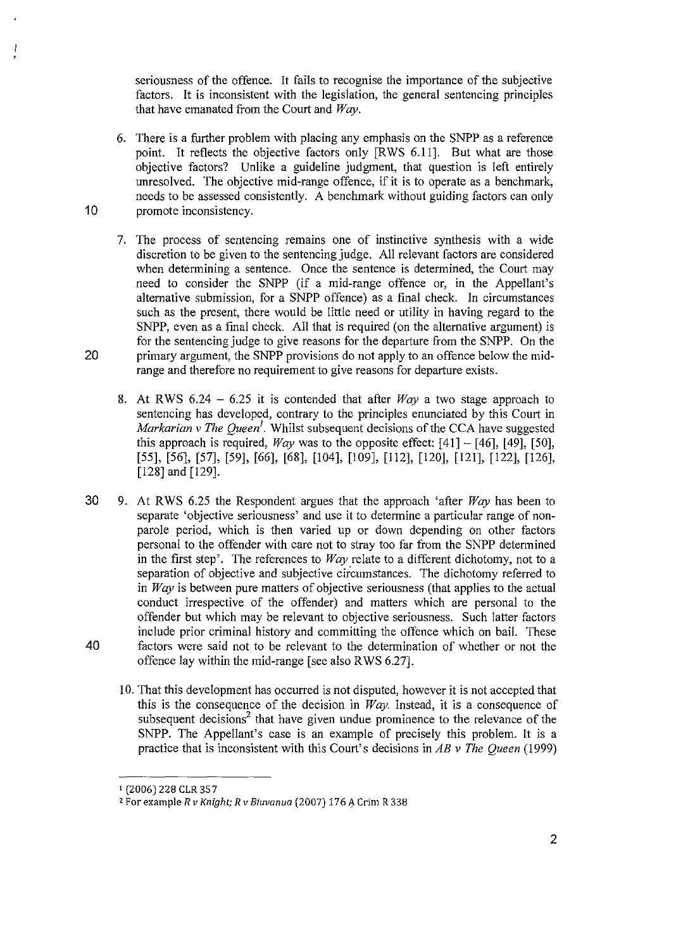seriousness of the offence. It fails to recognise the importance of the subjective factors. It is inconsistent with the legislation, the general sentencing principles that have emanated from the Court and *Way.* 

- 6. There is a further problem with placing any emphasis on the SNPP as a reference point. It reflects the objective factors only [RWS 6.11]. But what are those objective factors? Unlike a guideline judgment, that question is left entirely unresolved. The objective mid-range offence, if it is to operate as a benchmark, needs to be assessed consistently. A benchmark without guiding factors can only 10 promote inconsistency.
- 7. The process of sentencing remains one of instinctive synthesis with a wide discretion to be given to the sentencing judge. All relevant factors are considered when determining a sentence. Once the sentence is determined, the Court may need to consider the SNPP (if a mid-range offence or, in the Appellant's alternative submission, for a SNPP offence) as a final check. In circumstances such as the present, there would be little need or utility in having regard to the SNPP, even as a final check. All that is required (on the alternative argument) is for the sentencing judge to give reasons for the departure from the SNPP. On the 20 primary argument, the SNPP provisions do not apply to an offence below the midrange and therefore no requirement to give reasons for departure exists.
	- 8. At RWS  $6.24 6.25$  it is contended that after *Way* a two stage approach to sentencing has developed, contrary to the principles enunciated by this Court in *Markarian v The Queen*<sup>1</sup>. Whilst subsequent decisions of the CCA have suggested this approach is required, *Way* was to the opposite effect:  $[41] - [46]$ , [49], [50], [55], [56], [57], [59], [66], [68], [104], [109], [112], [120], [121], [122], [126], [128] and [129].
- 30 9. At RWS 6.25 the Respondent argues that the approach 'after *Way* has been to separate 'objective seriousness' and use it to determine a particular range of nonparole period, which is then varied up or down depending on other factors personal to the offender with care not to stray too far from the SNPP determined in the first step'. The references to *Way* relate to a different dichotomy, not to a separation of objective and subjective circumstances. The dichotomy referred to in *Way* is between pure matters of objective seriousness (that applies to the actual conduct irrespective of the offender) and matters which are personal to the offender but which may be relevant to objective seriousness. Such latter factors include prior criminal history and committing the offence which on bail. These 40 factors were said not to be relevant to the detennination of whether or not the offence lay within the mid-range [see also RWS 6.27].
	- 10. That this development has occurred is not disputed, however it is not accepted that this is the consequence of the decision in *Way.* Instead, it is a consequence of subsequent decisions<sup>2</sup> that have given undue prominence to the relevance of the SNPP. The Appellant's case is an example of precisely this problem. It is a practice that is inconsistent with this Court's decisions in *AB* v *The Queen* (1999)

<sup>1 (2006) 228</sup> CLR 357

<sup>&</sup>lt;sup>2</sup> For example *R v Knight; R v Biuvanua* (2007) 176 A Crim R 338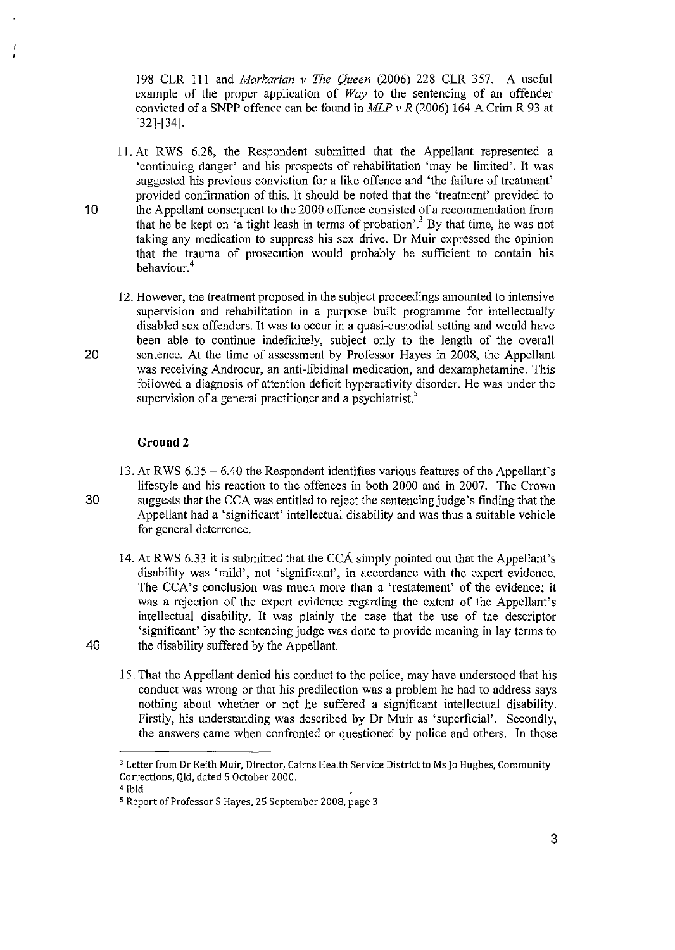198 CLR I I I and *Markarian* v *The Queen* (2006) 228 CLR 357. A useful example of the proper application of *Way* to the sentencing of an offender convicted of a SNPP offence can be found in *MLP* v *R* (2006) 164 A Crim R 93 at [32]-[34].

- 11. At RWS 6.28, the Respondent submitted that the Appellant represented a 'continuing danger' and his prospects of rehabilitation 'may be limited'. It was suggested his previous conviction for a like offence and 'the failure of treatment' provided confirmation of this. It should be noted that the 'treatment' provided to 10 the AppeIIant consequent to the 2000 offence consisted of a recommendation from that he be kept on 'a tight leash in terms of probation'.<sup>3</sup> By that time, he was not taking any medication to suppress his sex drive. Dr Muir expressed the opinion that the trauma of prosecution would probably be sufficient to contain his behaviour.<sup>4</sup>
- 12. However, the treatment proposed in the subject proceedings amounted to intensive supervision and rehabilitation in a purpose built programme for intellectually disabled sex offenders. It was to occur in a quasi-custodial setting and would have been able to continue indefinitely, subject only to the length of the overaII 20 sentence. At the time of assessment by Professor Hayes in 2008, the Appellant was receiving Androcur, an anti-libidinal medication, and dexamphetamine. This foIIowed a diagnosis of attention deficit hyperactivity disorder. He was under the supervision of a general practitioner and a psychiatrist.<sup>5</sup>

## **Ground 2**

- 13. At RWS  $6.35 6.40$  the Respondent identifies various features of the Appellant's lifestyle and his reaction to the offences in both 2000 and in 2007. The Crown 30 suggests that the CCA was entitled to reject the sentencing judge's finding that the AppeIIant had a 'significant' intellectual disability and was thus a suitable vehicle for general deterrence.
- 14. At RWS 6.33 it is submitted that the CCA simply pointed out that the Appellant's disability was' mild', not 'significant', in accordance with the expert evidence. The CCA's conclusion was much more than a 'restatement' of the evidence; it was a rejection of the expert evidence regarding the extent of the Appellant's intellectual disability. It was plainly the case that the use of the descriptor 'significant' by the sentencing judge was done to provide meaning in lay terms to 40 the disability suffered by the Appellant.
	- 15. That the AppeIIant denied his conduct to the police, may have understood that his conduct was wrong or that his predilection was a problem he had to address says nothing about whether or not he suffered a significant intellectual disability. Firstly, his understanding was described by Dr Muir as 'superficial'. Secondly, the answers came when confronted or questioned by police and others. In those

**<sup>3</sup> Letter from Dr Keith Muir, Director, Cairns Health Service District to Ms Jo Hughes, Community**  Corrections, Qld, dated 5 October 2000. 4 ibid

<sup>5</sup> Report of Professor S Hayes, 25 September 2008, page 3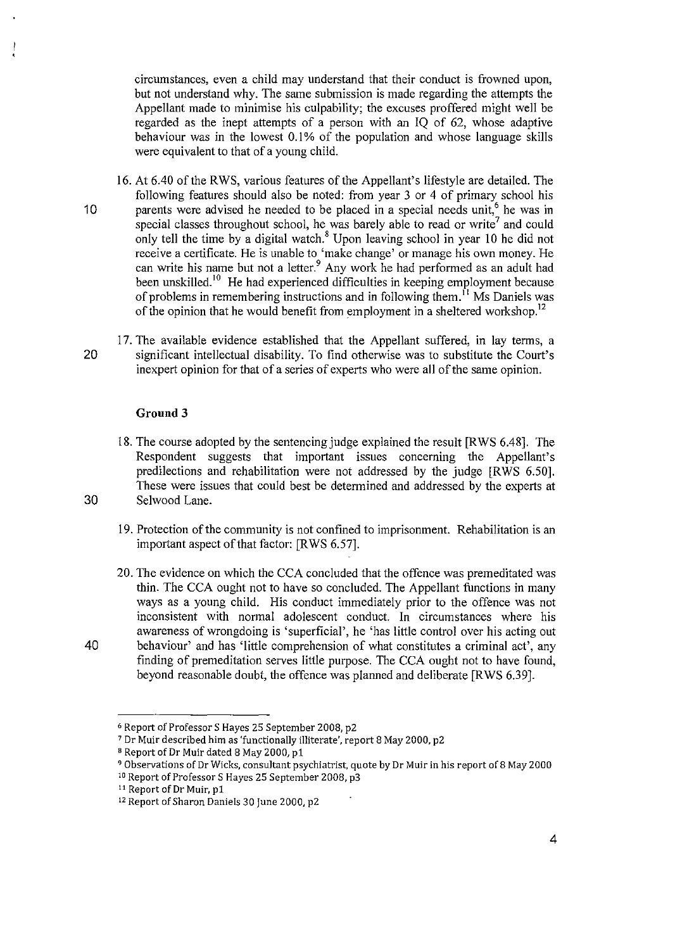circumstances, even a child may understand that their conduct is frowned upon, but not understand why. The same submission is made regarding the attempts the Appellant made to minimise his culpability; the excuses proffered might well be regarded as the inept attempts of a person with an IQ of 62, whose adaptive behaviour was in the lowest 0.1 % of the population and whose language skills were equivalent to that of a young child.

- 16. At 6.40 of the RWS, various features of the Appellant's lifestyle are detailed. The following features should also be noted: from year 3 or 4 of primary school his 10 parents were advised he needed to be placed in a special needs unit,  $6 \text{ he was in}$ special classes throughout school, he was barely able to read or write<sup>7</sup> and could only tell the time by a digital watch. $s$  Upon leaving school in year 10 he did not receive a certificate. He is unable to 'make change' or manage his own money. He can write his name but not a letter.<sup>9</sup> Any work he had performed as an adult had been unskilled.<sup>10</sup> He had experienced difficulties in keeping employment because of problems in remembering instructions and in following them.<sup> $\overline{1}$ </sup> Ms Daniels was of the opinion that he would benefit from employment in a sheltered workshop.<sup>12</sup>
- 17. The available evidence established that the Appellant suffered, in lay terms, a 20 significant intellectual disability. To find otherwise was to substitute the Court's inexpert opinion for that of a series of experts who were all of the same opinion.

## **Grouud 3**

- 18. The course adopted by the sentencing judge explained the result [RWS 6.48]. The Respondent suggests that important issues concerning the Appellant's predilections and rehabilitation were not addressed by the judge [RWS 6.50]. These were issues that could best be determined and addressed by the experts at 30 Selwood Lane.
	- 19. Protection of the community is not confined to imprisonment. Rehabilitation is an important aspect of that factor: [RWS 6.57].
- 20. The evidence on which the CCA concluded that the offence was premeditated was thin. The CCA ought not to have so concluded. The Appellant functions in many ways as a young child. His conduct immediately prior to the offence was not inconsistent with normal adolescent conduct. In circumstances where his awareness of wrongdoing is 'superficial', he 'has little control over his acting out 40 behaviour' and has 'little comprehension of what constitutes a criminal act', any finding of premeditation serves little purpose. The CCA ought not to have found, beyond reasonable doubt, the offence was planned and deliberate [RWS 6.39].

<sup>6</sup> Report of Professor S Hayes 25 September 2008, p2

<sup>7</sup> Dr Muir described him as 'functionally illiterate', report 8 May 2000, p2

<sup>&</sup>lt;sup>8</sup> Report of Dr Muir dated 8 May 2000, p1

<sup>&</sup>lt;sup>9</sup> Observations of Dr Wicks, consultant psychiatrist, quote by Dr Muir in his report of 8 May 2000

<sup>10</sup> Report of Professor S Hayes 25 September 2008, p3

<sup>&</sup>lt;sup>11</sup> Report of Dr Muir, p1

<sup>12</sup> Report of Sharon Daniels 30 June 2000, p2